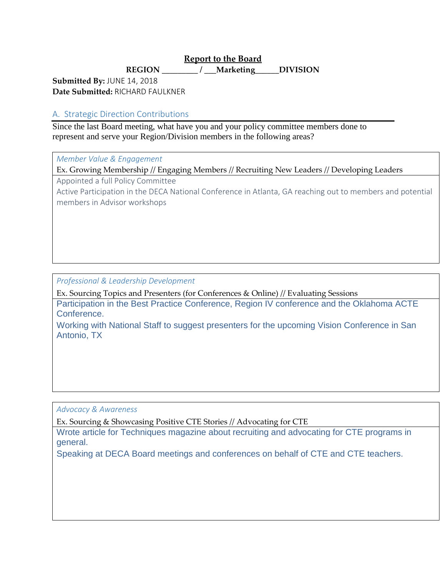## **Report to the Board**

**REGION \_\_\_\_\_\_\_\_\_ / \_\_\_Marketing\_\_\_\_\_\_DIVISION** 

**Submitted By:** JUNE 14, 2018 **Date Submitted:** RICHARD FAULKNER

# A. Strategic Direction Contributions

Since the last Board meeting, what have you and your policy committee members done to represent and serve your Region/Division members in the following areas?

*Member Value & Engagement*

Ex. Growing Membership // Engaging Members // Recruiting New Leaders // Developing Leaders

Appointed a full Policy Committee

Active Participation in the DECA National Conference in Atlanta, GA reaching out to members and potential members in Advisor workshops

# *Professional & Leadership Development*

Ex. Sourcing Topics and Presenters (for Conferences & Online) // Evaluating Sessions

Participation in the Best Practice Conference, Region IV conference and the Oklahoma ACTE Conference.

Working with National Staff to suggest presenters for the upcoming Vision Conference in San Antonio, TX

*Advocacy & Awareness*

Ex. Sourcing & Showcasing Positive CTE Stories // Advocating for CTE

Wrote article for Techniques magazine about recruiting and advocating for CTE programs in general.

Speaking at DECA Board meetings and conferences on behalf of CTE and CTE teachers.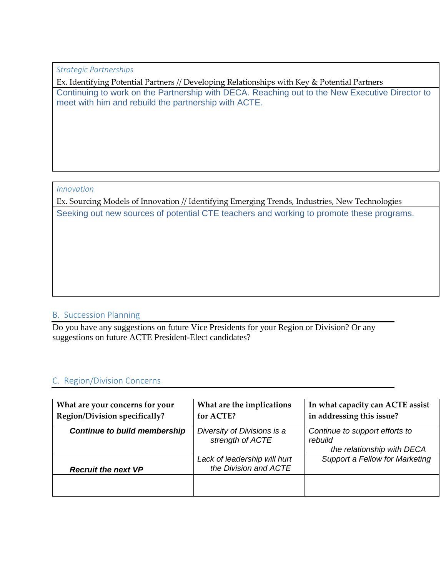*Strategic Partnerships*

Ex. Identifying Potential Partners // Developing Relationships with Key & Potential Partners Continuing to work on the Partnership with DECA. Reaching out to the New Executive Director to meet with him and rebuild the partnership with ACTE.

#### *Innovation*

Ex. Sourcing Models of Innovation // Identifying Emerging Trends, Industries, New Technologies Seeking out new sources of potential CTE teachers and working to promote these programs.

## B. Succession Planning

Do you have any suggestions on future Vice Presidents for your Region or Division? Or any suggestions on future ACTE President-Elect candidates?

## C. Region/Division Concerns

| What are your concerns for your<br><b>Region/Division specifically?</b> | What are the implications<br>for ACTE?                | In what capacity can ACTE assist<br>in addressing this issue?           |
|-------------------------------------------------------------------------|-------------------------------------------------------|-------------------------------------------------------------------------|
| <b>Continue to build membership</b>                                     | Diversity of Divisions is a<br>strength of ACTE       | Continue to support efforts to<br>rebuild<br>the relationship with DECA |
| <b>Recruit the next VP</b>                                              | Lack of leadership will hurt<br>the Division and ACTE | Support a Fellow for Marketing                                          |
|                                                                         |                                                       |                                                                         |